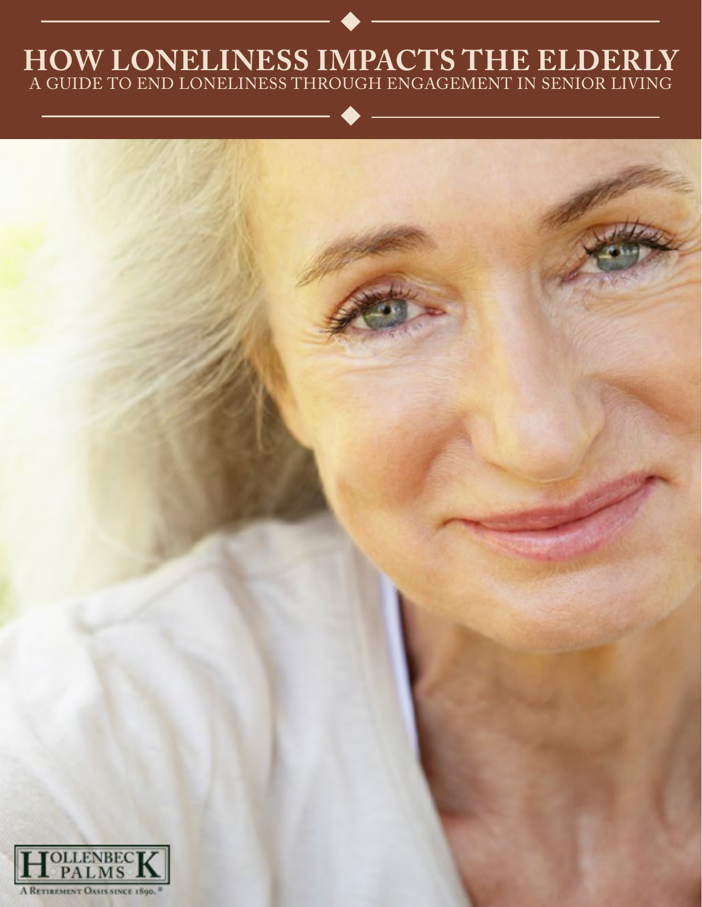### **HOW LONELINESS IMPACTS THE ELDERLY** A GUIDE TO END LONELINESS THROUGH ENGAGEMENT IN SENIOR LIVING

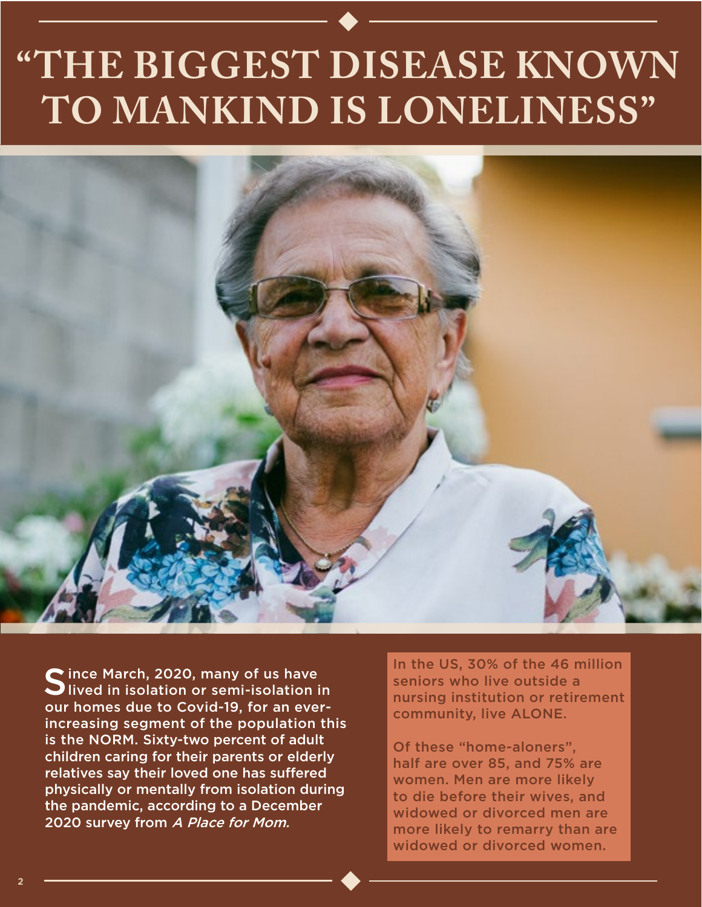## **"THE BIGGEST DISEASE KNOWN TO MANKIND IS LONELINESS"**



Since March, 2020, many of us have<br>Slived in isolation or semi-isolation in our homes due to Covid-19, for an everincreasing segment of the population this is the NORM. Sixty-two percent of adult children caring for their parents or elderly relatives say their loved one has suffered physically or mentally from isolation during the pandemic, according to a December 2020 survey from A Place for Mom.

In the US, 30% of the 46 million seniors who live outside a nursing institution or retirement community, live ALONE.

Of these "home-aloners", half are over 85, and 75% are women. Men are more likely to die before their wives, and widowed or divorced men are more likely to remarry than are widowed or divorced women.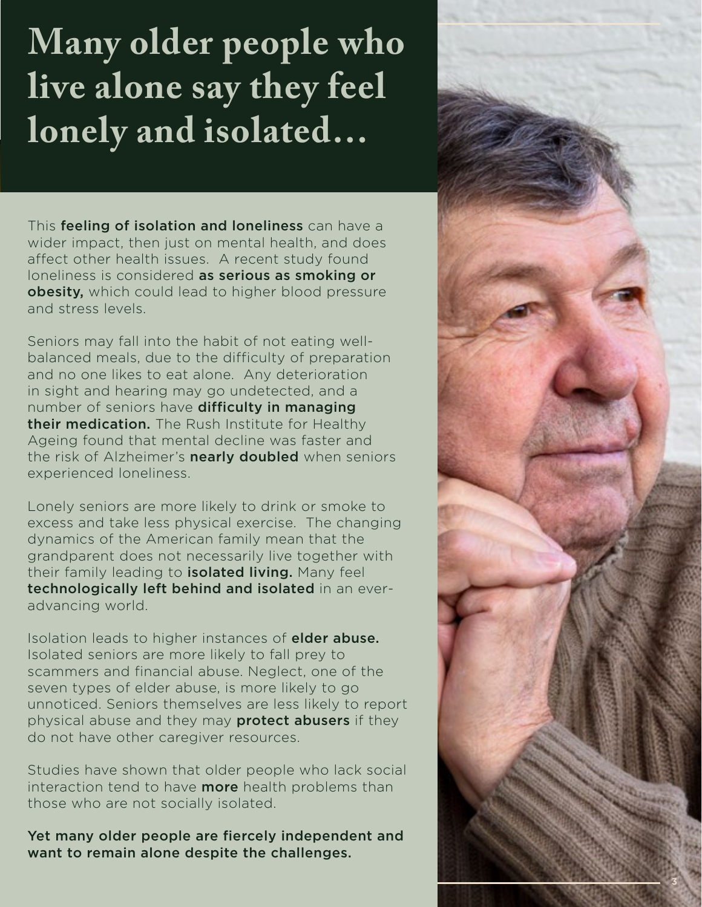### **Many older people who live alone say they feel lonely and isolated…**

This feeling of isolation and loneliness can have a wider impact, then just on mental health, and does affect other health issues. A recent study found loneliness is considered as serious as smoking or obesity, which could lead to higher blood pressure and stress levels.

Seniors may fall into the habit of not eating wellbalanced meals, due to the difficulty of preparation and no one likes to eat alone. Any deterioration in sight and hearing may go undetected, and a number of seniors have difficulty in managing their medication. The Rush Institute for Healthy Ageing found that mental decline was faster and the risk of Alzheimer's **nearly doubled** when seniors experienced loneliness.

Lonely seniors are more likely to drink or smoke to excess and take less physical exercise. The changing dynamics of the American family mean that the grandparent does not necessarily live together with their family leading to **isolated living.** Many feel technologically left behind and isolated in an everadvancing world.

Isolation leads to higher instances of **elder abuse.** Isolated seniors are more likely to fall prey to scammers and financial abuse. Neglect, one of the seven types of elder abuse, is more likely to go unnoticed. Seniors themselves are less likely to report physical abuse and they may **protect abusers** if they do not have other caregiver resources.

Studies have shown that older people who lack social interaction tend to have **more** health problems than those who are not socially isolated.

Yet many older people are fiercely independent and want to remain alone despite the challenges.

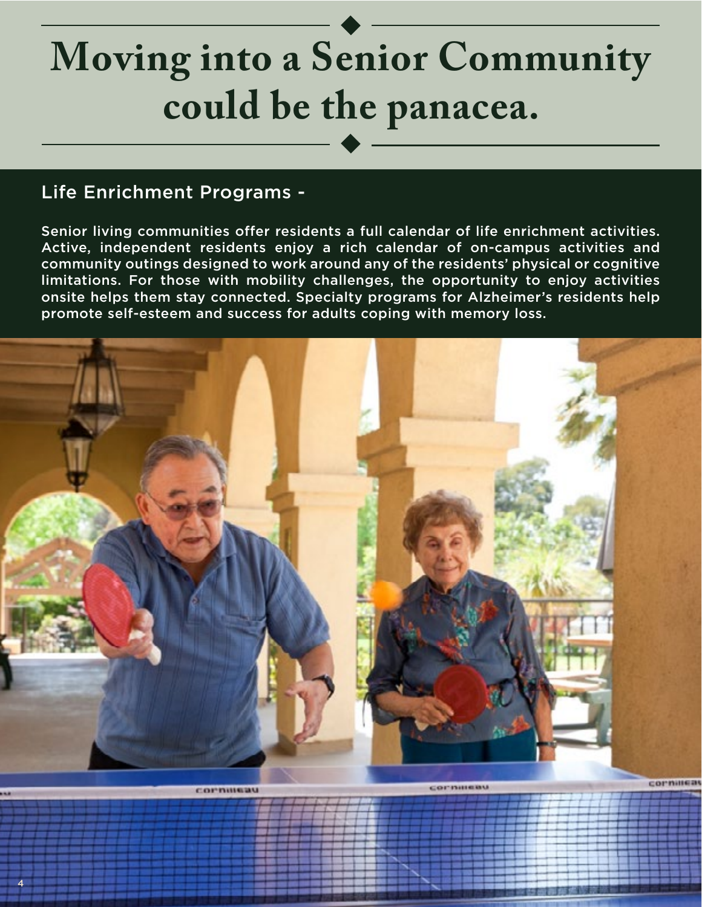## **Moving into a Senior Community could be the panacea.**

#### Life Enrichment Programs -

4

Senior living communities offer residents a full calendar of life enrichment activities. Active, independent residents enjoy a rich calendar of on-campus activities and community outings designed to work around any of the residents' physical or cognitive limitations. For those with mobility challenges, the opportunity to enjoy activities onsite helps them stay connected. Specialty programs for Alzheimer's residents help promote self-esteem and success for adults coping with memory loss.

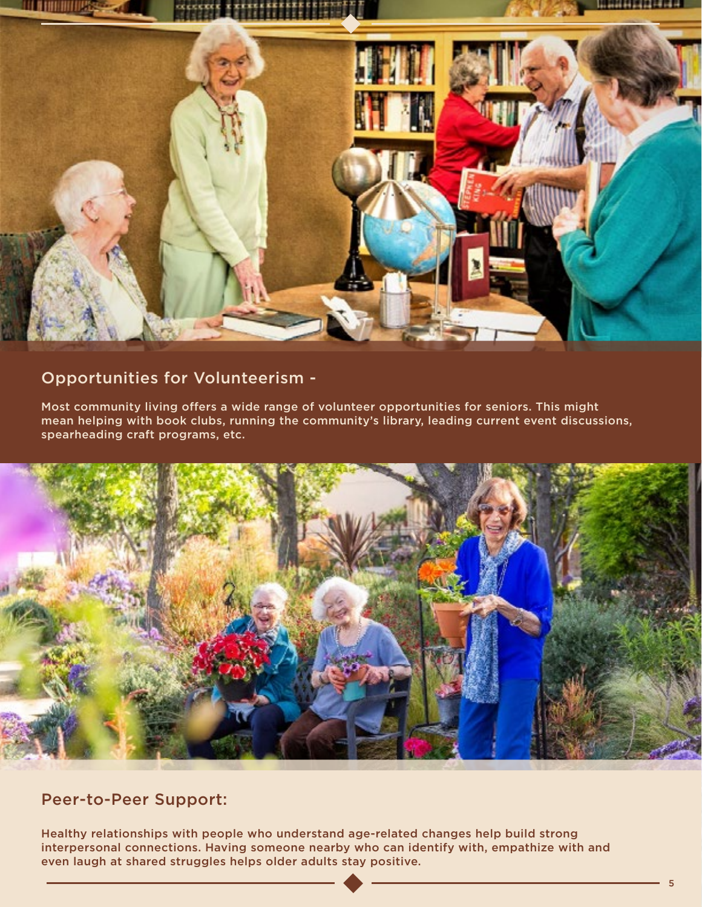

#### Opportunities for Volunteerism -

Most community living offers a wide range of volunteer opportunities for seniors. This might mean helping with book clubs, running the community's library, leading current event discussions, spearheading craft programs, etc.



Peer-to-Peer Support:

Healthy relationships with people who understand age-related changes help build strong interpersonal connections. Having someone nearby who can identify with, empathize with and even laugh at shared struggles helps older adults stay positive.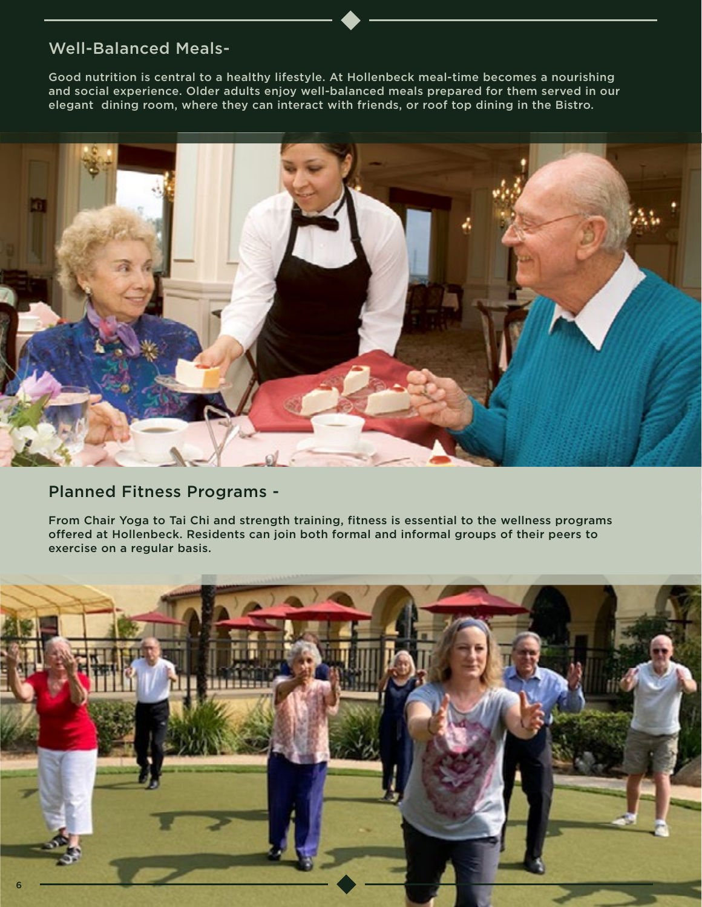#### Well-Balanced Meals-

Good nutrition is central to a healthy lifestyle. At Hollenbeck meal-time becomes a nourishing and social experience. Older adults enjoy well-balanced meals prepared for them served in our elegant dining room, where they can interact with friends, or roof top dining in the Bistro.



#### Planned Fitness Programs -

From Chair Yoga to Tai Chi and strength training, fitness is essential to the wellness programs offered at Hollenbeck. Residents can join both formal and informal groups of their peers to exercise on a regular basis.

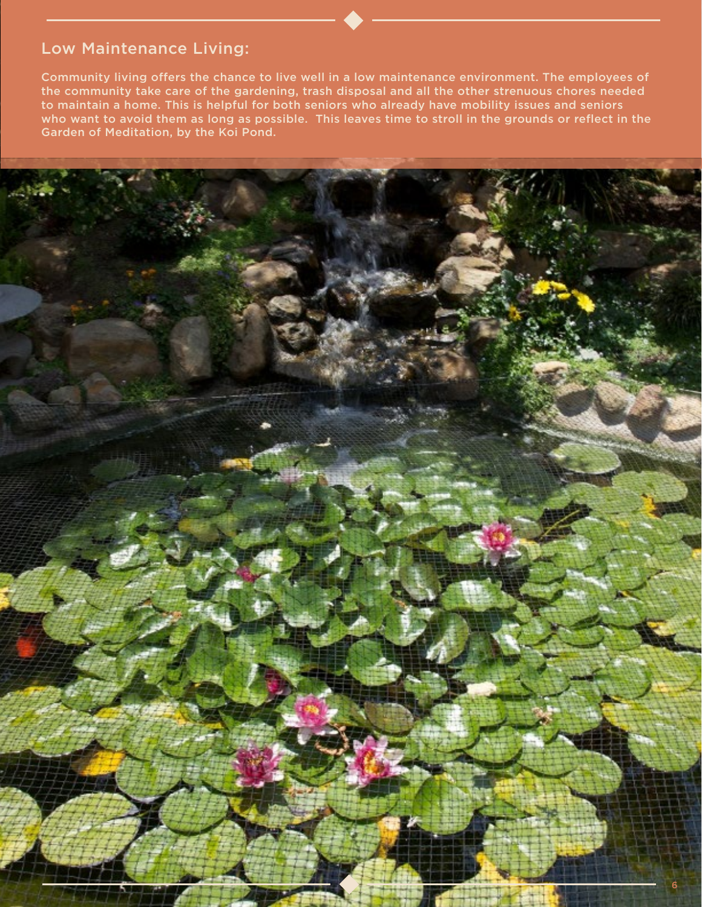#### Low Maintenance Living:

Community living offers the chance to live well in a low maintenance environment. The employees of the community take care of the gardening, trash disposal and all the other strenuous chores needed to maintain a home. This is helpful for both seniors who already have mobility issues and seniors who want to avoid them as long as possible. This leaves time to stroll in the grounds or reflect in the Garden of Meditation, by the Koi Pond.